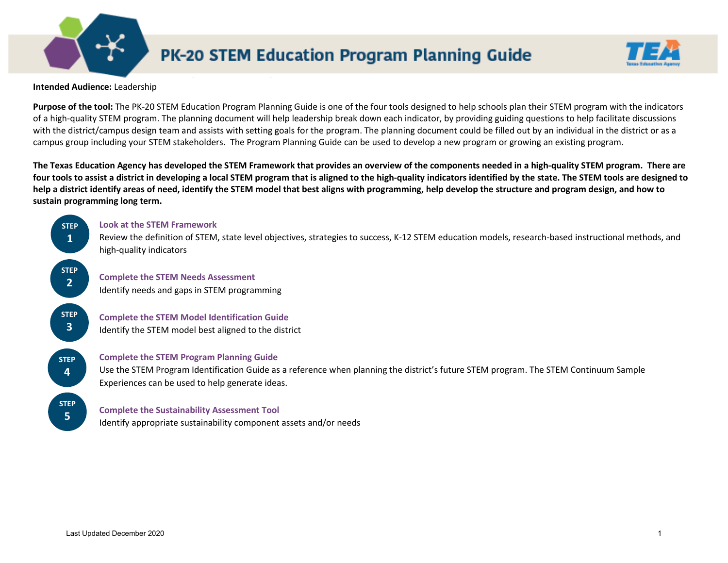

# PK-20 STEM Education Program Planning Guide



**Intended Audience:** Leadership

**Purpose of the tool:** The PK-20 STEM Education Program Planning Guide is one of the four tools designed to help schools plan their STEM program with the indicators of a high-quality STEM program. The planning document will help leadership break down each indicator, by providing guiding questions to help facilitate discussions with the district/campus design team and assists with setting goals for the program. The planning document could be filled out by an individual in the district or as a campus group including your STEM stakeholders. The Program Planning Guide can be used to develop a new program or growing an existing program.

**The Texas Education Agency has developed the STEM Framework that provides an overview of the components needed in a high-quality STEM program. There are four tools to assist a district in developing a local STEM program that is aligned to the high-quality indicators identified by the state. The STEM tools are designed to help a district identify areas of need, identify the STEM model that best aligns with programming, help develop the structure and program design, and how to sustain programming long term.** 



### **Look at the STEM Framework**

Review the definition of STEM, state level objectives, strategies to success, K-12 STEM education models, research-based instructional methods, and high-quality indicators

**Complete the STEM Needs Assessment** Identify needs and gaps in STEM programming

### **Complete the STEM Model Identification Guide** Identify the STEM model best aligned to the district

**Complete the STEM Program Planning Guide**

Use the STEM Program Identification Guide as a reference when planning the district's future STEM program. The STEM Continuum Sample Experiences can be used to help generate ideas.

## **Complete the Sustainability Assessment Tool**

Identify appropriate sustainability component assets and/or needs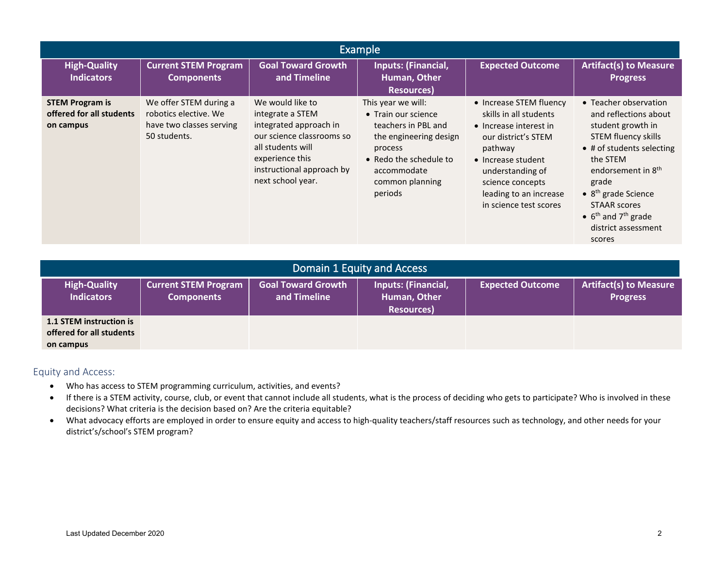| Example                                                         |                                                                                             |                                                                                                                                                                                       |                                                                                                                                                                              |                                                                                                                                                                                                                                 |                                                                                                                                                                                                                                                                                                                |  |
|-----------------------------------------------------------------|---------------------------------------------------------------------------------------------|---------------------------------------------------------------------------------------------------------------------------------------------------------------------------------------|------------------------------------------------------------------------------------------------------------------------------------------------------------------------------|---------------------------------------------------------------------------------------------------------------------------------------------------------------------------------------------------------------------------------|----------------------------------------------------------------------------------------------------------------------------------------------------------------------------------------------------------------------------------------------------------------------------------------------------------------|--|
| <b>High-Quality</b><br><b>Indicators</b>                        | <b>Current STEM Program</b><br><b>Components</b>                                            | <b>Goal Toward Growth</b><br>and Timeline                                                                                                                                             | Inputs: (Financial,<br>Human, Other<br><b>Resources</b> )                                                                                                                    | <b>Expected Outcome</b>                                                                                                                                                                                                         | <b>Artifact(s) to Measure</b><br><b>Progress</b>                                                                                                                                                                                                                                                               |  |
| <b>STEM Program is</b><br>offered for all students<br>on campus | We offer STEM during a<br>robotics elective. We<br>have two classes serving<br>50 students. | We would like to<br>integrate a STEM<br>integrated approach in<br>our science classrooms so<br>all students will<br>experience this<br>instructional approach by<br>next school year. | This year we will:<br>• Train our science<br>teachers in PBL and<br>the engineering design<br>process<br>• Redo the schedule to<br>accommodate<br>common planning<br>periods | • Increase STEM fluency<br>skills in all students<br>• Increase interest in<br>our district's STEM<br>pathway<br>• Increase student<br>understanding of<br>science concepts<br>leading to an increase<br>in science test scores | • Teacher observation<br>and reflections about<br>student growth in<br>STEM fluency skills<br>$\bullet$ # of students selecting<br>the STEM<br>endorsement in 8th<br>grade<br>$\bullet$ 8 <sup>th</sup> grade Science<br><b>STAAR scores</b><br>• $6^{th}$ and $7^{th}$ grade<br>district assessment<br>scores |  |

| Domain 1 Equity and Access                                       |                                                  |                                    |                                                          |                         |                                                  |  |
|------------------------------------------------------------------|--------------------------------------------------|------------------------------------|----------------------------------------------------------|-------------------------|--------------------------------------------------|--|
| <b>High-Quality</b><br><b>Indicators</b>                         | <b>Current STEM Program</b><br><b>Components</b> | Goal Toward Growth<br>and Timeline | Inputs: (Financial,<br>Human, Other<br><b>Resources)</b> | <b>Expected Outcome</b> | <b>Artifact(s) to Measure</b><br><b>Progress</b> |  |
| 1.1 STEM instruction is<br>offered for all students<br>on campus |                                                  |                                    |                                                          |                         |                                                  |  |

Equity and Access:

- Who has access to STEM programming curriculum, activities, and events?
- If there is a STEM activity, course, club, or event that cannot include all students, what is the process of deciding who gets to participate? Who is involved in these decisions? What criteria is the decision based on? Are the criteria equitable?
- What advocacy efforts are employed in order to ensure equity and access to high-quality teachers/staff resources such as technology, and other needs for your district's/school's STEM program?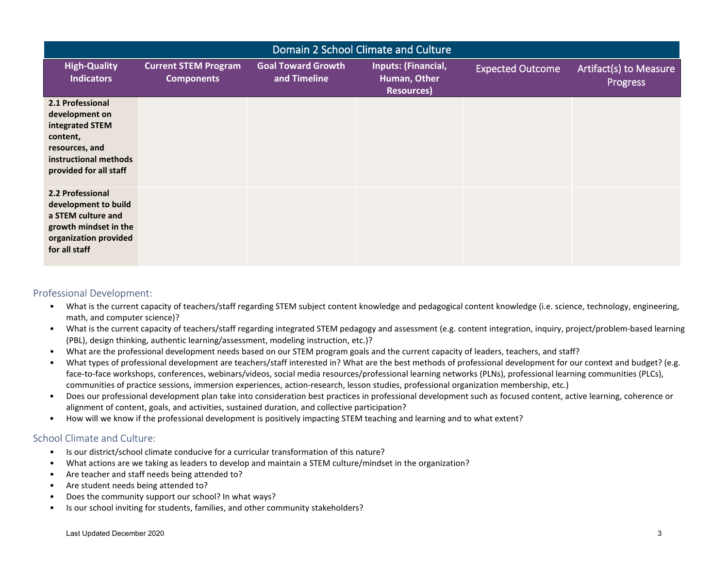| Domain 2 School Climate and Culture                                                                                                    |                                                  |                                           |                                                          |                         |                                           |  |
|----------------------------------------------------------------------------------------------------------------------------------------|--------------------------------------------------|-------------------------------------------|----------------------------------------------------------|-------------------------|-------------------------------------------|--|
| <b>High-Quality</b><br><b>Indicators</b>                                                                                               | <b>Current STEM Program</b><br><b>Components</b> | <b>Goal Toward Growth</b><br>and Timeline | Inputs: (Financial,<br>Human, Other<br><b>Resources)</b> | <b>Expected Outcome</b> | Artifact(s) to Measure<br><b>Progress</b> |  |
| 2.1 Professional<br>development on<br>integrated STEM<br>content,<br>resources, and<br>instructional methods<br>provided for all staff |                                                  |                                           |                                                          |                         |                                           |  |
| 2.2 Professional<br>development to build<br>a STEM culture and<br>growth mindset in the<br>organization provided<br>for all staff      |                                                  |                                           |                                                          |                         |                                           |  |

## Professional Development:

- What is the current capacity of teachers/staff regarding STEM subject content knowledge and pedagogical content knowledge (i.e. science, technology, engineering, math, and computer science)?
- What is the current capacity of teachers/staff regarding integrated STEM pedagogy and assessment (e.g. content integration, inquiry, project/problem-based learning (PBL), design thinking, authentic learning/assessment, modeling instruction, etc.)?
- What are the professional development needs based on our STEM program goals and the current capacity of leaders, teachers, and staff?
- What types of professional development are teachers/staff interested in? What are the best methods of professional development for our context and budget? (e.g. face-to-face workshops, conferences, webinars/videos, social media resources/professional learning networks (PLNs), professional learning communities (PLCs), communities of practice sessions, immersion experiences, action-research, lesson studies, professional organization membership, etc.)
- Does our professional development plan take into consideration best practices in professional development such as focused content, active learning, coherence or alignment of content, goals, and activities, sustained duration, and collective participation?
- How will we know if the professional development is positively impacting STEM teaching and learning and to what extent?

## School Climate and Culture:

- Is our district/school climate conducive for a curricular transformation of this nature?
- What actions are we taking as leaders to develop and maintain a STEM culture/mindset in the organization?
- Are teacher and staff needs being attended to?
- Are student needs being attended to?
- Does the community support our school? In what ways?
- Is our school inviting for students, families, and other community stakeholders?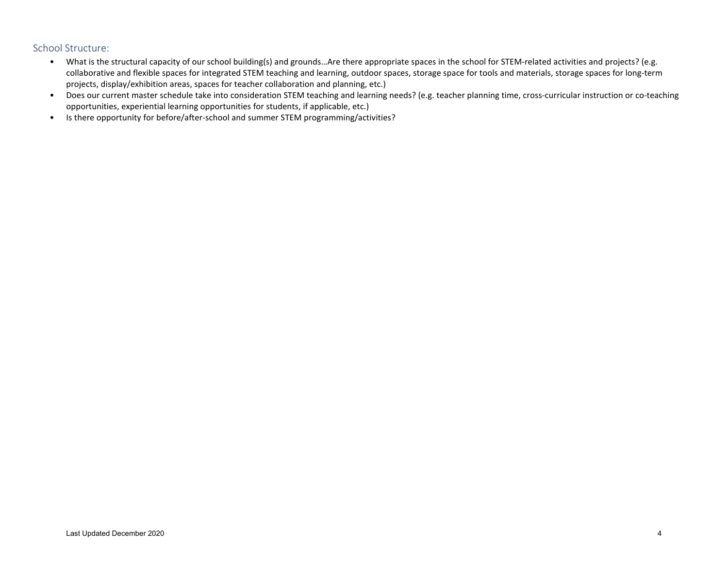# School Structure:

- What is the structural capacity of our school building(s) and grounds...Are there appropriate spaces in the school for STEM-related activities and projects? (e.g. collaborative and flexible spaces for integrated STEM teaching and learning, outdoor spaces, storage space for tools and materials, storage spaces for long-term projects, display/exhibition areas, spaces for teacher collaboration and planning, etc.)
- Does our current master schedule take into consideration STEM teaching and learning needs? (e.g. teacher planning time, cross-curricular instruction or co-teaching opportunities, experiential learning opportunities for students, if applicable, etc.)
- Is there opportunity for before/after-school and summer STEM programming/activities?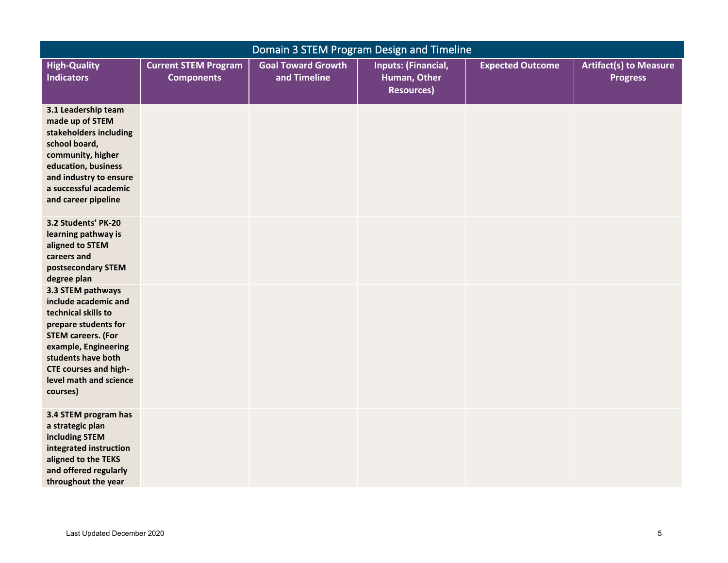| Domain 3 STEM Program Design and Timeline                                                                                                                                                                                                 |                                                  |                                           |                                                          |                         |                                                  |
|-------------------------------------------------------------------------------------------------------------------------------------------------------------------------------------------------------------------------------------------|--------------------------------------------------|-------------------------------------------|----------------------------------------------------------|-------------------------|--------------------------------------------------|
| <b>High-Quality</b><br><b>Indicators</b>                                                                                                                                                                                                  | <b>Current STEM Program</b><br><b>Components</b> | <b>Goal Toward Growth</b><br>and Timeline | Inputs: (Financial,<br>Human, Other<br><b>Resources)</b> | <b>Expected Outcome</b> | <b>Artifact(s) to Measure</b><br><b>Progress</b> |
| 3.1 Leadership team<br>made up of STEM<br>stakeholders including<br>school board,<br>community, higher<br>education, business<br>and industry to ensure<br>a successful academic<br>and career pipeline                                   |                                                  |                                           |                                                          |                         |                                                  |
| 3.2 Students' PK-20<br>learning pathway is<br>aligned to STEM<br>careers and<br>postsecondary STEM<br>degree plan                                                                                                                         |                                                  |                                           |                                                          |                         |                                                  |
| 3.3 STEM pathways<br>include academic and<br>technical skills to<br>prepare students for<br><b>STEM careers. (For</b><br>example, Engineering<br>students have both<br><b>CTE courses and high-</b><br>level math and science<br>courses) |                                                  |                                           |                                                          |                         |                                                  |
| 3.4 STEM program has<br>a strategic plan<br>including STEM<br>integrated instruction<br>aligned to the TEKS<br>and offered regularly<br>throughout the year                                                                               |                                                  |                                           |                                                          |                         |                                                  |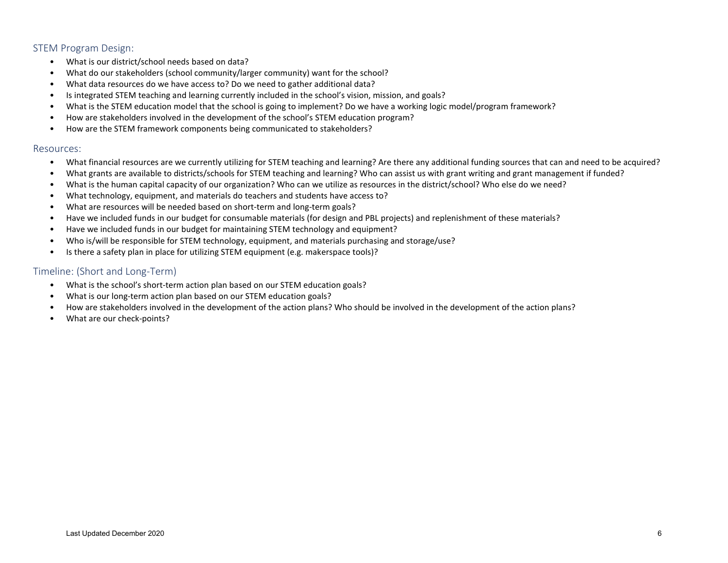# STEM Program Design:

- What is our district/school needs based on data?
- What do our stakeholders (school community/larger community) want for the school?
- What data resources do we have access to? Do we need to gather additional data?
- Is integrated STEM teaching and learning currently included in the school's vision, mission, and goals?
- What is the STEM education model that the school is going to implement? Do we have a working logic model/program framework?
- How are stakeholders involved in the development of the school's STEM education program?
- How are the STEM framework components being communicated to stakeholders?

### Resources:

- What financial resources are we currently utilizing for STEM teaching and learning? Are there any additional funding sources that can and need to be acquired?
- What grants are available to districts/schools for STEM teaching and learning? Who can assist us with grant writing and grant management if funded?
- What is the human capital capacity of our organization? Who can we utilize as resources in the district/school? Who else do we need?
- What technology, equipment, and materials do teachers and students have access to?
- What are resources will be needed based on short-term and long-term goals?
- Have we included funds in our budget for consumable materials (for design and PBL projects) and replenishment of these materials?
- Have we included funds in our budget for maintaining STEM technology and equipment?
- Who is/will be responsible for STEM technology, equipment, and materials purchasing and storage/use?
- Is there a safety plan in place for utilizing STEM equipment (e.g. makerspace tools)?

# Timeline: (Short and Long-Term)

- What is the school's short-term action plan based on our STEM education goals?
- What is our long-term action plan based on our STEM education goals?
- How are stakeholders involved in the development of the action plans? Who should be involved in the development of the action plans?
- What are our check-points?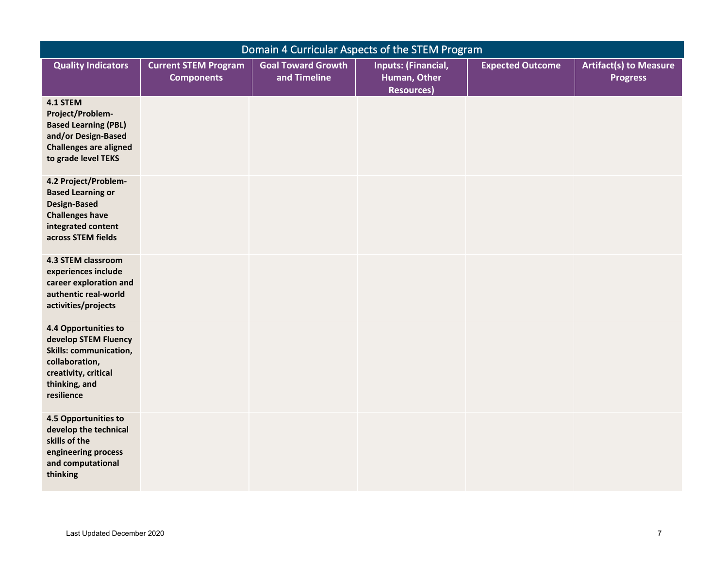| Domain 4 Curricular Aspects of the STEM Program                                                                                                 |                                                  |                                           |                                                                 |                         |                                                  |  |
|-------------------------------------------------------------------------------------------------------------------------------------------------|--------------------------------------------------|-------------------------------------------|-----------------------------------------------------------------|-------------------------|--------------------------------------------------|--|
| <b>Quality Indicators</b>                                                                                                                       | <b>Current STEM Program</b><br><b>Components</b> | <b>Goal Toward Growth</b><br>and Timeline | <b>Inputs: (Financial,</b><br>Human, Other<br><b>Resources)</b> | <b>Expected Outcome</b> | <b>Artifact(s) to Measure</b><br><b>Progress</b> |  |
| 4.1 STEM<br>Project/Problem-<br><b>Based Learning (PBL)</b><br>and/or Design-Based<br><b>Challenges are aligned</b><br>to grade level TEKS      |                                                  |                                           |                                                                 |                         |                                                  |  |
| 4.2 Project/Problem-<br><b>Based Learning or</b><br>Design-Based<br><b>Challenges have</b><br>integrated content<br>across STEM fields          |                                                  |                                           |                                                                 |                         |                                                  |  |
| 4.3 STEM classroom<br>experiences include<br>career exploration and<br>authentic real-world<br>activities/projects                              |                                                  |                                           |                                                                 |                         |                                                  |  |
| 4.4 Opportunities to<br>develop STEM Fluency<br>Skills: communication,<br>collaboration,<br>creativity, critical<br>thinking, and<br>resilience |                                                  |                                           |                                                                 |                         |                                                  |  |
| 4.5 Opportunities to<br>develop the technical<br>skills of the<br>engineering process<br>and computational<br>thinking                          |                                                  |                                           |                                                                 |                         |                                                  |  |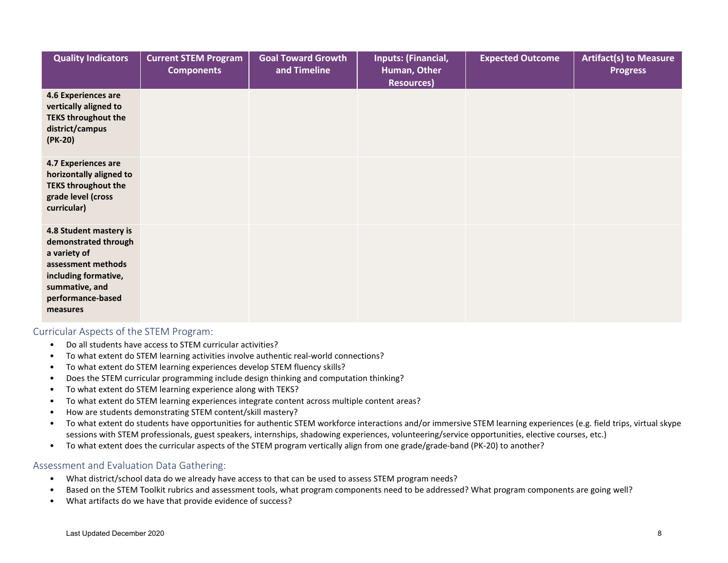| <b>Quality Indicators</b>                                                                                                                                       | <b>Current STEM Program</b><br><b>Components</b> | <b>Goal Toward Growth</b><br>and Timeline | Inputs: (Financial,<br>Human, Other<br><b>Resources)</b> | <b>Expected Outcome</b> | <b>Artifact(s) to Measure</b><br><b>Progress</b> |
|-----------------------------------------------------------------------------------------------------------------------------------------------------------------|--------------------------------------------------|-------------------------------------------|----------------------------------------------------------|-------------------------|--------------------------------------------------|
| 4.6 Experiences are<br>vertically aligned to<br><b>TEKS throughout the</b><br>district/campus<br>(PK-20)                                                        |                                                  |                                           |                                                          |                         |                                                  |
| 4.7 Experiences are<br>horizontally aligned to<br><b>TEKS throughout the</b><br>grade level (cross<br>curricular)                                               |                                                  |                                           |                                                          |                         |                                                  |
| 4.8 Student mastery is<br>demonstrated through<br>a variety of<br>assessment methods<br>including formative,<br>summative, and<br>performance-based<br>measures |                                                  |                                           |                                                          |                         |                                                  |

## Curricular Aspects of the STEM Program:

- Do all students have access to STEM curricular activities?
- To what extent do STEM learning activities involve authentic real-world connections?
- To what extent do STEM learning experiences develop STEM fluency skills?
- Does the STEM curricular programming include design thinking and computation thinking?
- To what extent do STEM learning experience along with TEKS?
- To what extent do STEM learning experiences integrate content across multiple content areas?
- How are students demonstrating STEM content/skill mastery?
- To what extent do students have opportunities for authentic STEM workforce interactions and/or immersive STEM learning experiences (e.g. field trips, virtual skype sessions with STEM professionals, guest speakers, internships, shadowing experiences, volunteering/service opportunities, elective courses, etc.)
- To what extent does the curricular aspects of the STEM program vertically align from one grade/grade-band (PK-20) to another?

## Assessment and Evaluation Data Gathering:

- What district/school data do we already have access to that can be used to assess STEM program needs?
- Based on the STEM Toolkit rubrics and assessment tools, what program components need to be addressed? What program components are going well?
- What artifacts do we have that provide evidence of success?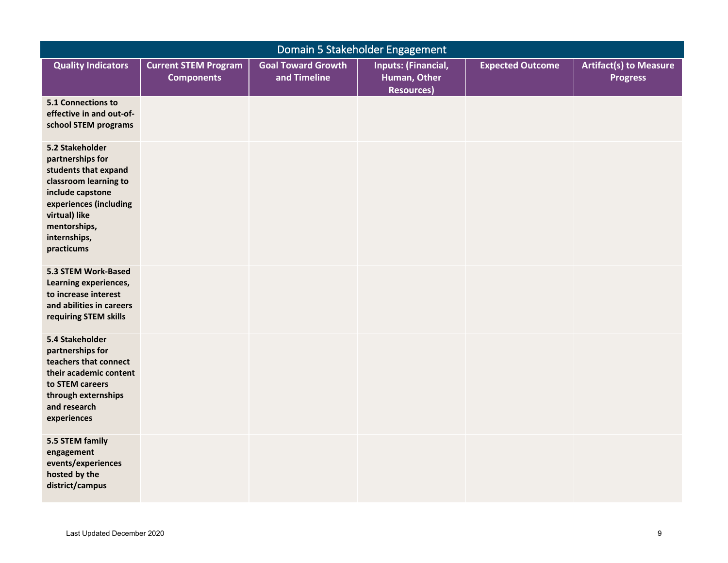| Domain 5 Stakeholder Engagement                                                                                                                                                                   |                                                  |                                           |                                                                 |                         |                                                  |  |
|---------------------------------------------------------------------------------------------------------------------------------------------------------------------------------------------------|--------------------------------------------------|-------------------------------------------|-----------------------------------------------------------------|-------------------------|--------------------------------------------------|--|
| <b>Quality Indicators</b>                                                                                                                                                                         | <b>Current STEM Program</b><br><b>Components</b> | <b>Goal Toward Growth</b><br>and Timeline | <b>Inputs: (Financial,</b><br>Human, Other<br><b>Resources)</b> | <b>Expected Outcome</b> | <b>Artifact(s) to Measure</b><br><b>Progress</b> |  |
| 5.1 Connections to<br>effective in and out-of-<br>school STEM programs                                                                                                                            |                                                  |                                           |                                                                 |                         |                                                  |  |
| 5.2 Stakeholder<br>partnerships for<br>students that expand<br>classroom learning to<br>include capstone<br>experiences (including<br>virtual) like<br>mentorships,<br>internships,<br>practicums |                                                  |                                           |                                                                 |                         |                                                  |  |
| 5.3 STEM Work-Based<br>Learning experiences,<br>to increase interest<br>and abilities in careers<br>requiring STEM skills                                                                         |                                                  |                                           |                                                                 |                         |                                                  |  |
| 5.4 Stakeholder<br>partnerships for<br>teachers that connect<br>their academic content<br>to STEM careers<br>through externships<br>and research<br>experiences                                   |                                                  |                                           |                                                                 |                         |                                                  |  |
| 5.5 STEM family<br>engagement<br>events/experiences<br>hosted by the<br>district/campus                                                                                                           |                                                  |                                           |                                                                 |                         |                                                  |  |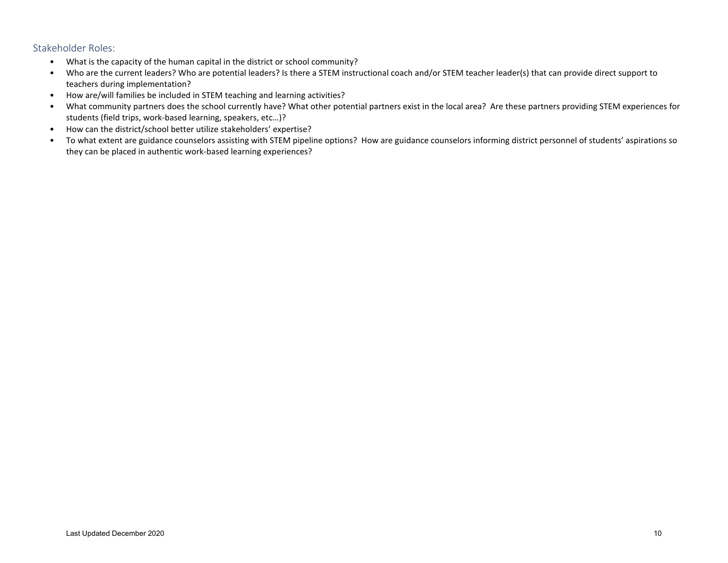Stakeholder Roles:

- What is the capacity of the human capital in the district or school community?
- Who are the current leaders? Who are potential leaders? Is there a STEM instructional coach and/or STEM teacher leader(s) that can provide direct support to teachers during implementation?
- How are/will families be included in STEM teaching and learning activities?
- What community partners does the school currently have? What other potential partners exist in the local area? Are these partners providing STEM experiences for students (field trips, work-based learning, speakers, etc…)?
- How can the district/school better utilize stakeholders' expertise?
- To what extent are guidance counselors assisting with STEM pipeline options? How are guidance counselors informing district personnel of students' aspirations so they can be placed in authentic work-based learning experiences?